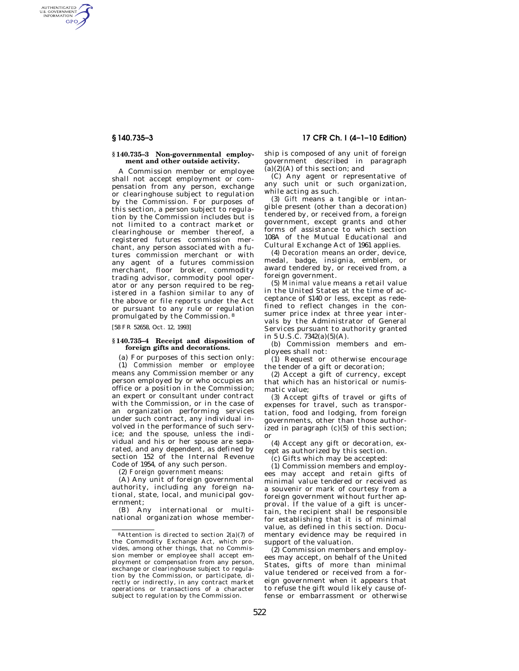AUTHENTICATED<br>U.S. GOVERNMENT<br>INFORMATION GPO

### **§ 140.735–3 Non-governmental employment and other outside activity.**

A Commission member or employee shall not accept employment or compensation from any person, exchange or clearinghouse subject to regulation by the Commission. For purposes of this section, a person subject to regulation by the Commission includes but is not limited to a contract market or clearinghouse or member thereof, a registered futures commission merchant, any person associated with a futures commission merchant or with any agent of a futures commission merchant, floor broker, commodity trading advisor, commodity pool operator or any person required to be registered in a fashion similar to any of the above or file reports under the Act or pursuant to any rule or regulation promulgated by the Commission. 8

[58 FR 52658, Oct. 12, 1993]

# **§ 140.735–4 Receipt and disposition of foreign gifts and decorations.**

(a) For purposes of this section only: (1) *Commission member* or *employee*  means any Commission member or any person employed by or who occupies an office or a position in the Commission; an expert or consultant under contract with the Commission, or in the case of an organization performing services under such contract, any individual involved in the performance of such service; and the spouse, unless the individual and his or her spouse are separated, and any dependent, as defined by section 152 of the Internal Revenue Code of 1954, of any such person.

(2) *Foreign government* means:

(A) Any unit of foreign governmental authority, including any foreign national, state, local, and municipal government;

(B) Any international or multinational organization whose member-

**§ 140.735–3 17 CFR Ch. I (4–1–10 Edition)** 

ship is composed of any unit of foreign government described in paragraph  $(a)(2)(A)$  of this section; and

(C) Any agent or representative of any such unit or such organization, while acting as such.

(3) *Gift* means a tangible or intangible present (other than a decoration) tendered by, or received from, a foreign government, except grants and other forms of assistance to which section 108A of the Mutual Educational and Cultural Exchange Act of 1961 applies.

(4) *Decoration* means an order, device, medal, badge, insignia, emblem, or award tendered by, or received from, a foreign government.

(5) *Minimal value* means a retail value in the United States at the time of acceptance of \$140 or less, except as redefined to reflect changes in the consumer price index at three year intervals by the Administrator of General Services pursuant to authority granted in 5 U.S.C.  $7342(a)(5)(A)$ .

(b) Commission members and employees shall not:

(1) Request or otherwise encourage the tender of a gift or decoration;

(2) Accept a gift of currency, except that which has an historical or numismatic value;

(3) Accept gifts of travel or gifts of expenses for travel, such as transportation, food and lodging, from foreign governments, other than those authorized in paragraph (c)(5) of this section; or

(4) Accept any gift or decoration, except as authorized by this section.

(c) Gifts which may be accepted:

(1) Commission members and employees may accept and retain gifts of minimal value tendered or received as a souvenir or mark of courtesy from a foreign government without further approval. If the value of a gift is uncertain, the recipient shall be responsible for establishing that it is of minimal value, as defined in this section. Documentary evidence may be required in support of the valuation.

(2) Commission members and employees may accept, on behalf of the United States, gifts of more than minimal value tendered or received from a foreign government when it appears that to refuse the gift would likely cause offense or embarrassment or otherwise

 $8$ Attention is directed to section  $2(a)(7)$  of the Commodity Exchange Act, which provides, among other things, that no Commission member or employee shall accept employment or compensation from any person, exchange or clearinghouse subject to regulation by the Commission, or participate, directly or indirectly, in any contract market operations or transactions of a character subject to regulation by the Commission.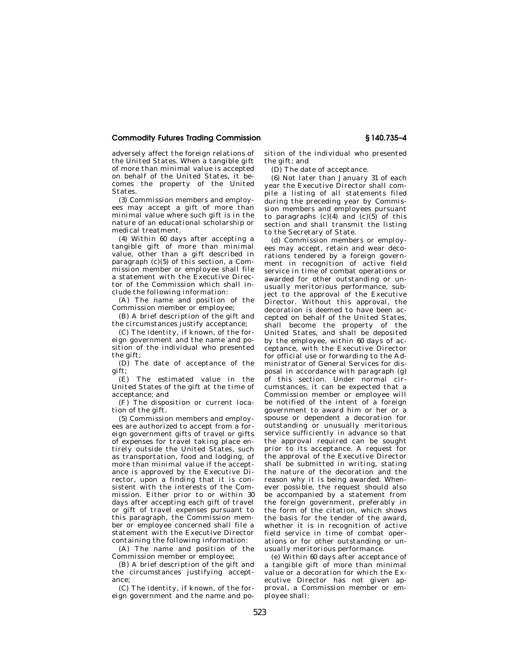# **Commodity Futures Trading Commission § 140.735–4**

adversely affect the foreign relations of the United States. When a tangible gift of more than minimal value is accepted on behalf of the United States, it becomes the property of the United **States** 

(3) Commission members and employees may accept a gift of more than minimal value where such gift is in the nature of an educational scholarship or medical treatment.

(4) Within 60 days after accepting a tangible gift of more than minimal value, other than a gift described in paragraph (c)(5) of this section, a Commission member or employee shall file a statement with the Executive Director of the Commission which shall include the following information:

(A) The name and position of the Commission member or employee;

(B) A brief description of the gift and the circumstances justify acceptance;

(C) The identity, if known, of the foreign government and the name and position of the individual who presented the gift;

(D) The date of acceptance of the gift;

(E) The estimated value in the United States of the gift at the time of acceptance; and

(F) The disposition or current location of the gift.

(5) Commission members and employees are authorized to accept from a foreign government gifts of travel or gifts of expenses for travel taking place entirely outside the United States, such as transportation, food and lodging, of more than minimal value if the acceptance is approved by the Executive Director, upon a finding that it is consistent with the interests of the Commission. Either prior to or within 30 days after accepting each gift of travel or gift of travel expenses pursuant to this paragraph, the Commission member or employee concerned shall file a statement with the Executive Director containing the following information:

(A) The name and position of the Commission member or employee;

(B) A brief description of the gift and the circumstances justifying acceptance;

(C) The identity, if known, of the foreign government and the name and position of the individual who presented the gift; and

(D) The date of acceptance.

(6) Not later than January 31 of each year the Executive Director shall compile a listing of all statements filed during the preceding year by Commission members and employees pursuant to paragraphs  $(c)(4)$  and  $(c)(5)$  of this section and shall transmit the listing to the Secretary of State.

(d) Commission members or employees may accept, retain and wear decorations tendered by a foreign government in recognition of active field service in time of combat operations or awarded for other outstanding or unusually meritorious performance, subject to the approval of the Executive Director. Without this approval, the decoration is deemed to have been accepted on behalf of the United States, shall become the property of the United States, and shall be deposited by the employee, within 60 days of acceptance, with the Executive Director for official use or forwarding to the Administrator of General Services for disposal in accordance with paragraph (g) of this section. Under normal circumstances, it can be expected that a Commission member or employee will be notified of the intent of a foreign government to award him or her or a spouse or dependent a decoration for outstanding or unusually meritorious service sufficiently in advance so that the approval required can be sought prior to its acceptance. A request for the approval of the Executive Director shall be submitted in writing, stating the nature of the decoration and the reason why it is being awarded. Whenever possible, the request should also be accompanied by a statement from the foreign government, preferably in the form of the citation, which shows the basis for the tender of the award, whether it is in recognition of active field service in time of combat operations or for other outstanding or unusually meritorious performance.

(e) Within 60 days after acceptance of a tangible gift of more than minimal value or a decoration for which the Executive Director has not given approval, a Commission member or employee shall: